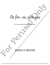On fire...no, after you On fire...no, after you On fire...no, after you

*for mezzo-soprano, viola, and piano*

# **SICA MEYER**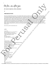On fire...no, after you

*for mezzo-soprano, viola, and piano*

*8'*

## **PROGRAM NOTE**

Poet/mezzo Jennifer Beattie and I met at the Chamber Music America Conference in 2017 and talked about working together. Time passed, and then by happenstance I bumped into her while performing in another state. We knew we had to make time to chat, and after reading her poetry I definitely knew that a collaboration needed to happen. Her words are emotionally direct, just like the music I write - which is perfect for the narrative I wanted to create by putting these three poems in a sequence. It is about that moment when you realize you have fallen in love, and that breathless-passionate-yet-anxiously-fragile feeling that can overwhelm you in the early stages of such a relationship. I have been carrying these three poems around for a while now, so I am thrilled to have this commission made possible by BMI and Concert Artists Guild to bring these words to life, especially in the hands of fellow violist Jordan Bak. This piece is dedicated to the mutual friend who introduced Jennifer and I - pianist Adam Marks. He died unexpectedly in his sleep last year, leaving behind his loving husband and a community of colleagues who sorely miss his spirit. On fire  $\mu$ ... No, after you<br>have measured product with the strain of the control of the strain of the control of the strain of the strain of the strain of the strain of the strain of the strain of the strain of the stra **A NOTE:**<br>
since Bostine and Linux in the Chamber Main, denote Conference in 2 **P** and allows on the second via measure of the conference and the conference materials and the conference material and the conference materia

Life is short, and love should always win.

#### **on fire**

i am on fire. and I've decided to be very calm about it after all, burning is one way to go i hold you in the space of other worlds a radio signal going on and on and on love falls around us the unruly embers of a windblown campfire

#### **no**

 when you say no i fall down this long dark well a discarded instrument with strings still gently vibrating<br>but i too mean what i say<br>and what i say is that life is rushing by us so fast<br>so fast that we are already dead.<br>and since we are already dead<br>it follows<br>that we d but i too mean what i say and what i say is that life is rushing by us so fast so fast that we are already dead. and since we are already dead it follows that we don't have to feel like it's a risk to burn in the light

### **after you**

it wasn't just that one time it was every time it was that and no other it was buzz and snap, crackle, fly, fall. afterward turning inward broken open resolving resolved it felt like itself. grasping. Broken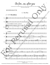On fire...no, after you

3

*Commissioned by the BMI Foundation, Inc./Carlos Surinach Fund for Concert Artists Guild, and written for Jordan Bak*



©2022 JMM Publishing (BMI). Text used with permission. All rights reserved.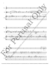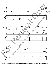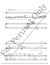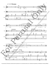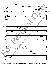

8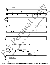

9

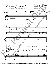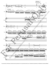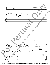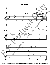